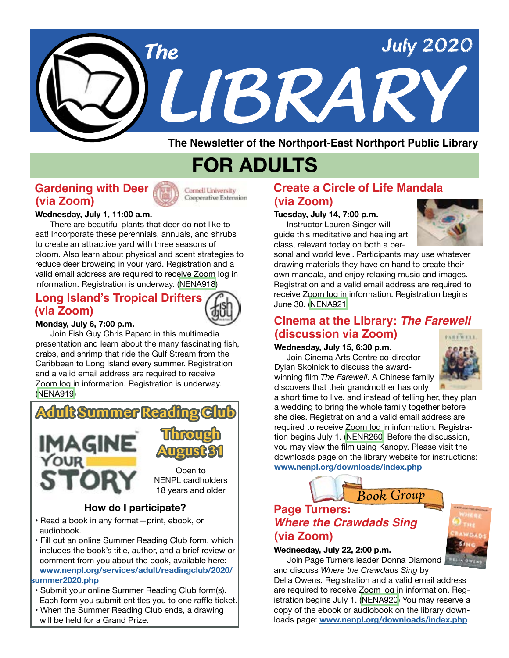

**The Newsletter of the Northport-East Northport Public Library**

## **FOR ADULTS**

### **Gardening with Deer (via Zoom)**



Cooperative Extension

#### **Wednesday, July 1, 11:00 a.m.**

 There are beautiful plants that deer do not like to eat! Incorporate these perennials, annuals, and shrubs to create an attractive yard with three seasons of bloom. Also learn about physical and scent strategies to reduce deer browsing in your yard. Registration and a valid email address are required to receive Zoom log in information. Registration is underway. ([NENA918](https://search.livebrary.com/record=g1099614~S43))

## **Long Island's Tropical Drifters (via Zoom)**



 Join Fish Guy Chris Paparo in this multimedia presentation and learn about the many fascinating fish, crabs, and shrimp that ride the Gulf Stream from the Caribbean to Long Island every summer. Registration and a valid email address are required to receive Zoom log in information. Registration is underway. [\(NENA919\)](https://search.livebrary.com/record=g1099615~S43)



### **How do I participate?**

- Read a book in any format—print, ebook, or audiobook.
- Fill out an online Summer Reading Club form, which includes the book's title, author, and a brief review or comment from you about the book, available here: **[www.nenpl.org/services/adult/readingclub/2020/](https://www.nenpl.org/services/adult/readingclub/2020/summer2020.php) [summer2020.php](https://www.nenpl.org/services/adult/readingclub/2020/summer2020.php)**
- Submit your online Summer Reading Club form(s). Each form you submit entitles you to one raffle ticket.
- When the Summer Reading Club ends, a drawing will be held for a Grand Prize.

## **Create a Circle of Life Mandala (via Zoom)**

#### **Tuesday, July 14, 7:00 p.m.**

 Instructor Lauren Singer will guide this meditative and healing art class, relevant today on both a per-



sonal and world level. Participants may use whatever drawing materials they have on hand to create their own mandala, and enjoy relaxing music and images. Registration and a valid email address are required to receive Zoom log in information. Registration begins June 30. [\(NENA921\)](https://search.livebrary.com/record=g1099638~S43)

#### **Cinema at the Library:** *The Farewell* **(discussion via Zoom)**PAREWELL

#### **Wednesday, July 15, 6:30 p.m.**

 Join Cinema Arts Centre co-director Dylan Skolnick to discuss the awardwinning film *The Farewell*. A Chinese family discovers that their grandmother has only



a short time to live, and instead of telling her, they plan a wedding to bring the whole family together before she dies. Registration and a valid email address are required to receive Zoom log in information. Registration begins July 1. [\(NENR260\)](https://search.livebrary.com/record=g1100063~S43) Before the discussion, you may view the film using Kanopy. Please visit the downloads page on the library website for instructions: **[www.nenpl.org/downloads/index.php](http://www.nenpl.org/downloads/index.php)**



## **Page Turners: (via Zoom)** *Where the Crawdads Sing*

#### **Wednesday, July 22, 2:00 p.m.**

Join Page Turners leader Donna Diamond

and discuss *Where the Crawdads Sing* by Delia Owens. Registration and a valid email address are required to receive Zoom log in information. Registration begins July 1. [\(NENA920\)](https://search.livebrary.com/record=g1099637~S43) You may reserve a copy of the ebook or audiobook on the library downloads page: **[www.nenpl.org/downloads/index.php](http://www.nenpl.org/downloads/index.php)**

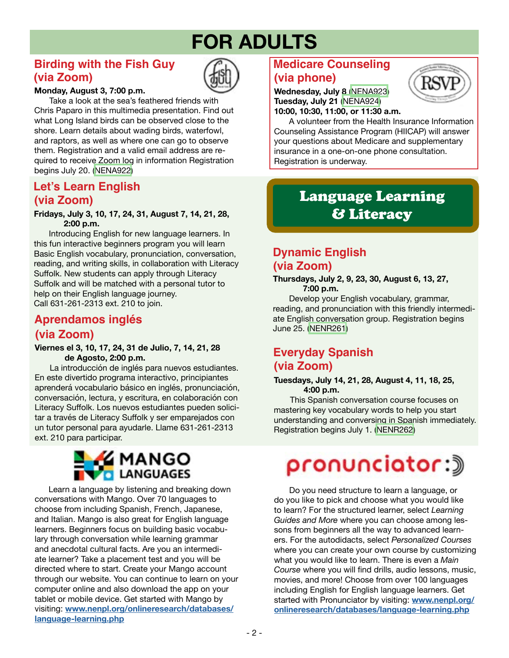# **FOR ADULTS**

## **Birding with the Fish Guy (via Zoom)**



#### **Monday, August 3, 7:00 p.m.**

 Take a look at the sea's feathered friends with Chris Paparo in this multimedia presentation. Find out what Long Island birds can be observed close to the shore. Learn details about wading birds, waterfowl, and raptors, as well as where one can go to observe them. Registration and a valid email address are required to receive Zoom log in information Registration begins July 20. ([NENA922\)](https://search.livebrary.com/record=g1100036~S43)

## **Let's Learn English (via Zoom)**

#### **Fridays, July 3, 10, 17, 24, 31, August 7, 14, 21, 28, 2:00 p.m.**

Introducing English for new language learners. In this fun interactive beginners program you will learn Basic English vocabulary, pronunciation, conversation, reading, and writing skills, in collaboration with Literacy Suffolk. New students can apply through Literacy Suffolk and will be matched with a personal tutor to help on their English language journey. Call 631-261-2313 ext. 210 to join.

## **Aprendamos inglés (via Zoom)**

**Viernes el 3, 10, 17, 24, 31 de Julio, 7, 14, 21, 28 de Agosto, 2:00 p.m.**

La introducción de inglés para nuevos estudiantes. En este divertido programa interactivo, principiantes aprenderá vocabulario básico en inglés, pronunciación, conversación, lectura, y escritura, en colaboración con Literacy Suffolk. Los nuevos estudiantes pueden solicitar a través de Literacy Suffolk y ser emparejados con un tutor personal para ayudarle. Llame 631-261-2313 ext. 210 para participar.



 Learn a language by listening and breaking down conversations with Mango. Over 70 languages to choose from including Spanish, French, Japanese, and Italian. Mango is also great for English language learners. Beginners focus on building basic vocabulary through conversation while learning grammar and anecdotal cultural facts. Are you an intermediate learner? Take a placement test and you will be directed where to start. Create your Mango account through our website. You can continue to learn on your computer online and also download the app on your tablet or mobile device. Get started with Mango by visiting: **[www.nenpl.org/onlineresearch/databases/](http://www.nenpl.org/onlineresearch/databases/language-learning.php) [language-learning.php](http://www.nenpl.org/onlineresearch/databases/language-learning.php)**

## **Medicare Counseling (via phone)**

**Wednesday, July 8** [\(NENA923](https://search.livebrary.com/record=g1100029~S43)) **Tuesday, July 21** [\(NENA924](https://search.livebrary.com/record=g1100031~S43)) **10:00, 10:30, 11:00, or 11:30 a.m.**

A volunteer from the Health Insurance Information Counseling Assistance Program (HIICAP) will answer your questions about Medicare and supplementary insurance in a one-on-one phone consultation. Registration is underway.

## Language Learning & Literacy

## **Dynamic English (via Zoom)**

**Thursdays, July 2, 9, 23, 30, August 6, 13, 27, 7:00 p.m.**

 Develop your English vocabulary, grammar, reading, and pronunciation with this friendly intermediate English conversation group. Registration begins June 25. [\(NENR261](https://search.livebrary.com/record=g1099946~S43))

## **Everyday Spanish (via Zoom)**

#### **Tuesdays, July 14, 21, 28, August 4, 11, 18, 25, 4:00 p.m.**

This Spanish conversation course focuses on mastering key vocabulary words to help you start understanding and conversing in Spanish immediately. Registration begins July 1. [\(NENR262](https://search.livebrary.com/record=g1099952~S43))

# pronunciator:》

 Do you need structure to learn a language, or do you like to pick and choose what you would like to learn? For the structured learner, select *Learning Guides and More* where you can choose among lessons from beginners all the way to advanced learners. For the autodidacts, select *Personalized Courses* where you can create your own course by customizing what you would like to learn. There is even a *Main Course* where you will find drills, audio lessons, music, movies, and more! Choose from over 100 languages including English for English language learners. Get started with Pronunciator by visiting: **[www.nenpl.org/](http://www.nenpl.org/onlineresearch/databases/language-learning.php) [onlineresearch/databases/language-learning.php](http://www.nenpl.org/onlineresearch/databases/language-learning.php)**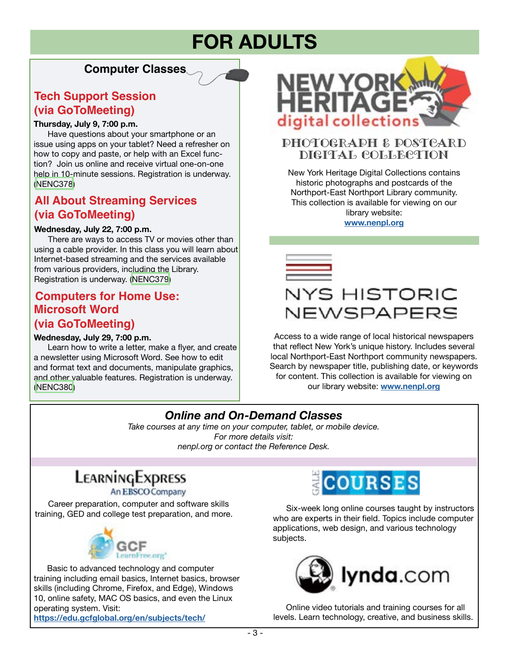## **FOR ADULTS**

## **Computer Classes**

## **Tech Support Session (via GoToMeeting)**

#### **Thursday, July 9, 7:00 p.m.**

 Have questions about your smartphone or an issue using apps on your tablet? Need a refresher on how to copy and paste, or help with an Excel function? Join us online and receive virtual one-on-one [help in 10-minute sessions. Registration is underway.](https://search.livebrary.com/record=g1100041~S85)  [\(NENC378\)](https://search.livebrary.com/record=g1100041~S43)

## **[All About Streaming Services](https://search.livebrary.com/record=g1100039~S85) (via GoToMeeting)**

#### **Wednesday, July 22, 7:00 p.m.**

 There are ways to access TV or movies other than using a cable provider. In this class you will learn about Internet-based streaming and the services available from various providers, including the Library. Registration is underway. ([NENC379](https://search.livebrary.com/record=g1100039~S43))

## **[Computers for Home Use:](https://search.livebrary.com/record=g1100042~S85) Microsoft Word**

## **(via GoToMeeting)**

#### **Wednesday, July 29, 7:00 p.m.**

 Learn how to write a letter, make a flyer, and create a newsletter using Microsoft Word. See how to edit and format text and documents, manipulate graphics, and other valuable features. Registration is underway. [\(NENC380\)](https://search.livebrary.com/record=g1100042~S43)



### Photograph & Postcard Digital Collection

New York Heritage Digital Collections contains historic photographs and postcards of the Northport-East Northport Library community. This collection is available for viewing on our library website: **[www.nenpl.org](http://www.nenpl.org)**

NYS HISTORIC NEWSPAPERS

Access to a wide range of local historical newspapers that reflect New York's unique history. Includes several local Northport-East Northport community newspapers. Search by newspaper title, publishing date, or keywords for content. This collection is available for viewing on our library website: **[www.nenpl.org](http://www.nenpl.org)**

## *Online and On-Demand Classes*

*Take courses at any time on your computer, tablet, or mobile device. For more details visit: nenpl.org or contact the Reference Desk.*

## LEARNINGEXPRESS

An EBSCO Company

 Career preparation, computer and software skills training, GED and college test preparation, and more.



 Basic to advanced technology and computer training including email basics, Internet basics, browser skills (including Chrome, Firefox, and Edge), Windows 10, online safety, MAC OS basics, and even the Linux operating system. Visit: **<https://edu.gcfglobal.org/en/subjects/tech/>**



 [Six-week long online courses taught by instructors](https://education.gale.com/l-northpub/)  who are experts in their field. Topics include computer applications, web design, and various technology subjects.



 Online video tutorials and training courses for all [levels. Learn technology, creative, and business skills.](https://www.lynda.com/portal/patron?org=nenpl.org)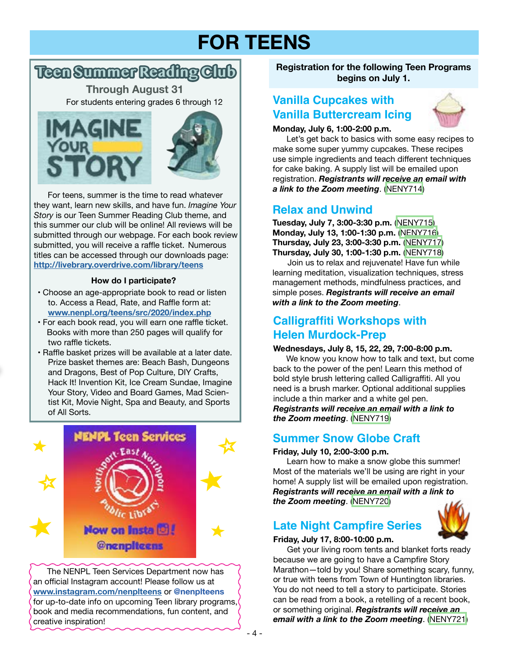# **FOR TEENS**

## **Teen Summer Reading Club**

For students entering grades 6 through 12 **Through August 31**





 For teens, summer is the time to read whatever they want, learn new skills, and have fun. *Imagine Your Story* is our Teen Summer Reading Club theme, and this summer our club will be online! All reviews will be submitted through our webpage. For each book review submitted, you will receive a raffle ticket. Numerous titles can be accessed through our downloads page: **<http://livebrary.overdrive.com/library/teens>**

#### **How do I participate?**

- Choose an age-appropriate book to read or listen to. Access a Read, Rate, and Raffle form at: **[www.nenpl.org/teens/src/2020/index.php](http://www.nenpl.org/teens/src/2020/index.php)**
- For each book read, you will earn one raffle ticket. Books with more than 250 pages will qualify for two raffle tickets.
- Raffle basket prizes will be available at a later date. Prize basket themes are: Beach Bash, Dungeons and Dragons, Best of Pop Culture, DIY Crafts, Hack It! Invention Kit, Ice Cream Sundae, Imagine Your Story, Video and Board Games, Mad Scientist Kit, Movie Night, Spa and Beauty, and Sports of All Sorts.



 The NENPL Teen Services Department now has an official Instagram account! Please follow us at **[www.instagram.com/nenplteens](http://www.instagram.com/nenplteens)** or **@nenplteens** for up-to-date info on upcoming Teen library programs, book and media recommendations, fun content, and creative inspiration!

**Registration for the following Teen Programs begins on July 1.**

## **Vanilla Cupcakes with Vanilla Buttercream Icing**



#### **Monday, July 6, 1:00-2:00 p.m.**

Let's get back to basics with some easy recipes to make some super yummy cupcakes. These recipes use simple ingredients and teach different techniques for cake baking. A supply list will be emailed upon registration. *Registrants will receive an email with a link to the Zoom meeting*. ([NENY714](https://search.livebrary.com/record=g1100034~S43))

## **Relax and Unwind**

**Tuesday, July 7, 3:00-3:30 p.m.** [\(NENY715\)](https://search.livebrary.com/record=g1100035~S43) **Monday, July 13, 1:00-1:30 p.m.** ([NENY716](https://search.livebrary.com/record=g1100037~S43)) **Thursday, July 23, 3:00-3:30 p.m.** ([NENY717](https://search.livebrary.com/record=g1100172~S43)) **Thursday, July 30, 1:00-1:30 p.m.** ([NENY718](https://search.livebrary.com/record=g1100173~S43))

Join us to relax and rejuvenate! Have fun while learning meditation, visualization techniques, stress management methods, mindfulness practices, and simple poses. *Registrants will receive an email with a link to the Zoom meeting*.

## **Calligraffiti Workshops with Helen Murdock-Prep**

#### **Wednesdays, July 8, 15, 22, 29, 7:00-8:00 p.m.**

We know you know how to talk and text, but come back to the power of the pen! Learn this method of bold style brush lettering called Calligraffiti. All you need is a brush marker. Optional additional supplies include a thin marker and a white gel pen. *Registrants will receive an email with a link to the Zoom meeting*. [\(NENY719](https://search.livebrary.com/record=g1100174~S43))

### **Summer Snow Globe Craft**

#### **Friday, July 10, 2:00-3:00 p.m.**

 Learn how to make a snow globe this summer! Most of the materials we'll be using are right in your home! A supply list will be emailed upon registration. *Registrants will receive an email with a link to the Zoom meeting*. [\(NENY720\)](https://search.livebrary.com/record=g1100175~S43)

## **Late Night Campfire Series**



## **Friday, July 17, 8:00-10:00 p.m.**

 Get your living room tents and blanket forts ready because we are going to have a Campfire Story Marathon—told by you! Share something scary, funny, or true with teens from Town of Huntington libraries. You do not need to tell a story to participate. Stories can be read from a book, a retelling of a recent book, or something original. *Registrants will receive an email with a link to the Zoom meeting*. ([NENY721\)](https://search.livebrary.com/record=g1100176~S43)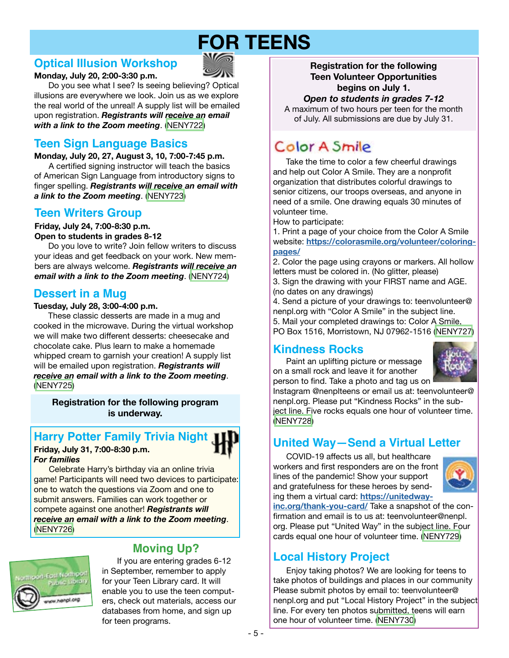# **FOR TEENS**

## **Optical Illusion Workshop**



**Monday, July 20, 2:00-3:30 p.m.** 

 Do you see what I see? Is seeing believing? Optical illusions are everywhere we look. Join us as we explore the real world of the unreal! A supply list will be emailed upon registration. *Registrants will receive an email with a link to the Zoom meeting*. ([NENY722](https://search.livebrary.com/record=g1100177~S43))

## **Teen Sign Language Basics**

**Monday, July 20, 27, August 3, 10, 7:00-7:45 p.m.**  A certified signing instructor will teach the basics of American Sign Language from introductory signs to finger spelling. *Registrants will receive an email with a link to the Zoom meeting*. [\(NENY723](https://search.livebrary.com/record=g1100178~S43))

## **Teen Writers Group**

**Friday, July 24, 7:00-8:30 p.m. Open to students in grades 8-12**

 Do you love to write? Join fellow writers to discuss your ideas and get feedback on your work. New members are always welcome. *Registrants will receive an email with a link to the Zoom meeting*. ([NENY724](https://search.livebrary.com/record=g1100180~S43))

## **Dessert in a Mug**

#### **Tuesday, July 28, 3:00-4:00 p.m.**

 These classic desserts are made in a mug and cooked in the microwave. During the virtual workshop we will make two different desserts: cheesecake and chocolate cake. Plus learn to make a homemade whipped cream to garnish your creation! A supply list will be emailed upon registration. *Registrants will receive an email with a link to the Zoom meeting*. [\(NENY725\)](https://search.livebrary.com/record=g1100181~S43)

**Registration for the following program is underway.**

### **Harry Potter Family Trivia Night**

#### **Friday, July 31, 7:00-8:30 p.m.**  *For families*



Celebrate Harry's birthday via an online trivia game! Participants will need two devices to participate: one to watch the questions via Zoom and one to submit answers. Families can work together or compete against one another! *Registrants will receive an email with a link to the Zoom meeting*. [\(NENY726](https://search.livebrary.com/record=g1100032~S43))



## **Moving Up?**

If you are entering grades 6-12 in September, remember to apply for your Teen Library card. It will enable you to use the teen computers, check out materials, access our databases from home, and sign up for teen programs.

**Registration for the following Teen Volunteer Opportunities begins on July 1.**

#### *Open to students in grades 7-12*

A maximum of two hours per teen for the month of July. All submissions are due by July 31.

## Color A Smile

 Take the time to color a few cheerful drawings and help out Color A Smile. They are a nonprofit organization that distributes colorful drawings to senior citizens, our troops overseas, and anyone in need of a smile. One drawing equals 30 minutes of volunteer time.

How to participate:

1. Print a page of your choice from the Color A Smile website: **[https://colorasmile.org/volunteer/coloring](https://colorasmile.org/volunteer/coloring-pages/)[pages/](https://colorasmile.org/volunteer/coloring-pages/)**

2. Color the page using crayons or markers. All hollow letters must be colored in. (No glitter, please) 3. Sign the drawing with your FIRST name and AGE. (no dates on any drawings)

4. Send a picture of your drawings to: teenvolunteer@ nenpl.org with "Color A Smile" in the subject line. 5. Mail your completed drawings to: Color A Smile, PO Box 1516, Morristown, NJ 07962-1516 [\(NENY727\)](https://search.livebrary.com/record=g1099972~S43)

## **Kindness Rocks**

 Paint an uplifting picture or message on a small rock and leave it for another person to find. Take a photo and tag us on



Instagram @nenplteens or email us at: teenvolunteer@ nenpl.org. Please put "Kindness Rocks" in the subject line. Five rocks equals one hour of volunteer time. [\(NENY728\)](https://search.livebrary.com/record=g1099971~S43)

## **United Way—Send a Virtual Letter**

 COVID-19 affects us all, but healthcare workers and first responders are on the front lines of the pandemic! Show your support and gratefulness for these heroes by sending them a virtual card: **[https://unitedway-](https://unitedwayinc.org/thank-you-card/)**



**[inc.org/thank-you-card/](https://unitedwayinc.org/thank-you-card/)** Take a snapshot of the confirmation and email is to us at: teenvolunteer@nenpl. org. Please put "United Way" in the subject line. Four cards equal one hour of volunteer time. ([NENY729\)](https://search.livebrary.com/record=g1099998~S43)

## **Local History Project**

 Enjoy taking photos? We are looking for teens to take photos of buildings and places in our community Please submit photos by email to: teenvolunteer@ nenpl.org and put "Local History Project" in the subject line. For every ten photos submitted, teens will earn one hour of volunteer time. [\(NENY730\)](https://search.livebrary.com/record=g1100002~S43)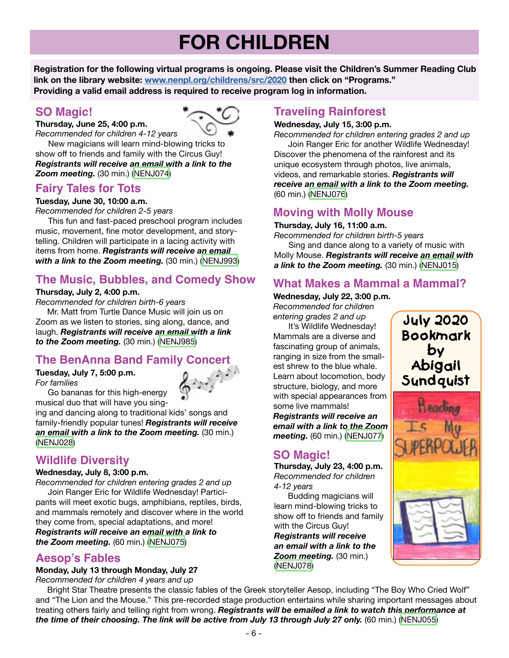# **FOR CHILDREN**

**Registration for the following virtual programs is ongoing. Please visit the Children's Summer Reading Club link on the library website: [www.nenpl.org/childrens/src/2020](http://www.nenpl.org/childrens/src/2020) then click on "Programs." Providing a valid email address is required to receive program log in information.**

## **SO Magic!**

**Thursday, June 25, 4:00 p.m.**



*Recommended for children 4-12 years* New magicians will learn mind-blowing tricks to show off to friends and family with the Circus Guy! *Registrants will receive an email with a link to the Zoom meeting.* (30 min.) ([NENJ074](https://search.livebrary.com/record=g1099768~S43))

## **Fairy Tales for Tots**

#### **Tuesday, June 30, 10:00 a.m.**

*Recommended for children 2-5 years*

 This fun and fast-paced preschool program includes music, movement, fine motor development, and storytelling. Children will participate in a lacing activity with items from home. *Registrants will receive an email with a link to the Zoom meeting.* (30 min.) [\(NENJ993\)](https://search.livebrary.com/record=g1099190~S43)

## **The Music, Bubbles, and Comedy Show**

#### **Thursday, July 2, 4:00 p.m.**

*Recommended for children birth-6 years*

 Mr. Matt from Turtle Dance Music will join us on Zoom as we listen to stories, sing along, dance, and laugh. *Registrants will receive an email with a link to the Zoom meeting.* (30 min.) [\(NENJ985](https://search.livebrary.com/record=g1099186~S43))

## **The BenAnna Band Family Concert**

**Tuesday, July 7, 5:00 p.m.** *For families*



 Go bananas for this high-energy musical duo that will have you sing-

ing and dancing along to traditional kids' songs and family-friendly popular tunes! *Registrants will receive an email with a link to the Zoom meeting.* (30 min.) [\(NENJ028\)](https://search.livebrary.com/record=g1099782~S43)

## **Wildlife Diversity**

#### **Wednesday, July 8, 3:00 p.m.**

*Recommended for children entering grades 2 and up* Join Ranger Eric for Wildlife Wednesday! Participants will meet exotic bugs, amphibians, reptiles, birds, and mammals remotely and discover where in the world they come from, special adaptations, and more! *Registrants will receive an email with a link to the Zoom meeting.* (60 min.) ([NENJ075](https://search.livebrary.com/record=g1099769~S43))

### **Aesop's Fables**

#### **Monday, July 13 through Monday, July 27**

*Recommended for children 4 years and up*

## **Traveling Rainforest**

#### **Wednesday, July 15, 3:00 p.m.**

*Recommended for children entering grades 2 and up* Join Ranger Eric for another Wildlife Wednesday! Discover the phenomena of the rainforest and its unique ecosystem through photos, live animals, videos, and remarkable stories. *Registrants will receive an email with a link to the Zoom meeting.* (60 min.) [\(NENJ076\)](https://search.livebrary.com/record=g1099775~S43)

## **Moving with Molly Mouse**

**Thursday, July 16, 11:00 a.m.**

*Recommended for children birth-5 years*

 Sing and dance along to a variety of music with Molly Mouse. *Registrants will receive an email with a link to the Zoom meeting.* (30 min.) [\(NENJ015](https://search.livebrary.com/record=g1099220~S43))

## **What Makes a Mammal a Mammal?**

**Wednesday, July 22, 3:00 p.m.** *Recommended for children* 

*entering grades 2 and up* It's Wildlife Wednesday! Mammals are a diverse and fascinating group of animals, ranging in size from the smallest shrew to the blue whale. Learn about locomotion, body structure, biology, and more with special appearances from some live mammals! *Registrants will receive an email with a link to the Zoom meeting.* (60 min.) ([NENJ077](https://search.livebrary.com/record=g1099779~S43))

## **SO Magic!**

**Thursday, July 23, 4:00 p.m.** *Recommended for children 4-12 years*

 Budding magicians will learn mind-blowing tricks to show off to friends and family with the Circus Guy! *Registrants will receive an email with a link to the Zoom meeting.* (30 min.) [\(NENJ078\)](https://search.livebrary.com/record=g1099784~S43)





 Bright Star Theatre presents the classic fables of the Greek storyteller Aesop, including "The Boy Who Cried Wolf" and "The Lion and the Mouse." This pre-recorded stage production entertains while sharing important messages about treating others fairly and telling right from wrong. *Registrants will be emailed a link to watch this performance at*  the time of their choosing. The link will be active from July 13 through July 27 only. (60 min.) [\(NENJ055\)](https://search.livebrary.com/record=g1099774~S43)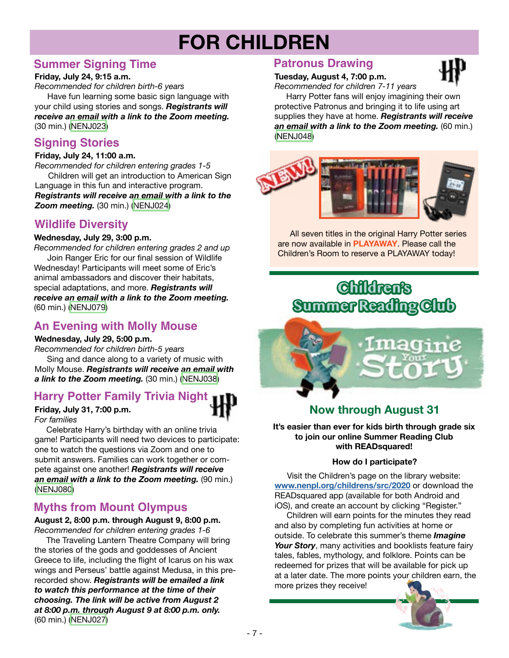# **FOR CHILDREN**

## **Summer Signing Time**

#### **Friday, July 24, 9:15 a.m.**

*Recommended for children birth-6 years* Have fun learning some basic sign language with your child using stories and songs. *Registrants will receive an email with a link to the Zoom meeting.* (30 min.) [\(NENJ023\)](https://search.livebrary.com/record=g1099209~S43)

## **Signing Stories**

#### **Friday, July 24, 11:00 a.m.**

*Recommended for children entering grades 1-5* Children will get an introduction to American Sign Language in this fun and interactive program. *Registrants will receive an email with a link to the Zoom meeting.* (30 min.) [\(NENJ024\)](https://search.livebrary.com/record=g1099210~S43)

## **Wildlife Diversity**

#### **Wednesday, July 29, 3:00 p.m.**

*Recommended for children entering grades 2 and up* Join Ranger Eric for our final session of Wildlife Wednesday! Participants will meet some of Eric's animal ambassadors and discover their habitats, special adaptations, and more. *Registrants will receive an email with a link to the Zoom meeting.* (60 min.) ([NENJ079](https://search.livebrary.com/record=g1099792~S43))

## **An Evening with Molly Mouse**

#### **Wednesday, July 29, 5:00 p.m.**

*Recommended for children birth-5 years* Sing and dance along to a variety of music with Molly Mouse. *Registrants will receive an email with a link to the Zoom meeting.* (30 min.) ([NENJ038](https://search.livebrary.com/record=g1099864~S43))

## **Harry Potter Family Trivia Night**

**Friday, July 31, 7:00 p.m.** *For families*

 Celebrate Harry's birthday with an online trivia game! Participants will need two devices to participate: one to watch the questions via Zoom and one to submit answers. Families can work together or compete against one another! *Registrants will receive an email with a link to the Zoom meeting.* (90 min.) [\(NENJ080\)](https://search.livebrary.com/record=g1099807~S43)

## **Myths from Mount Olympus**

**August 2, 8:00 p.m. through August 9, 8:00 p.m.** *Recommended for children entering grades 1-6*

 The Traveling Lantern Theatre Company will bring the stories of the gods and goddesses of Ancient Greece to life, including the flight of Icarus on his wax wings and Perseus' battle against Medusa, in this prerecorded show. *Registrants will be emailed a link to watch this performance at the time of their choosing. The link will be active from August 2 at 8:00 p.m. through August 9 at 8:00 p.m. only.* (60 min.) [\(NENJ027](https://search.livebrary.com/record=g1099211~S43))

### **Patronus Drawing**

## **Tuesday, August 4, 7:00 p.m.**

*Recommended for children 7-11 years*

 Harry Potter fans will enjoy imagining their own protective Patronus and bringing it to life using art supplies they have at home. *Registrants will receive an email with a link to the Zoom meeting.* (60 min.) ([NENJ048](https://search.livebrary.com/record=g1097785~S43))



 All seven titles in the original Harry Potter series are now available in **PLAYAWAY**. Please call the Children's Room to reserve a PLAYAWAY today!

## **Children's Summer Reading Club**



## **Now through August 31**

**It's easier than ever for kids birth through grade six to join our online Summer Reading Club with READsquared!**

#### **How do I participate?**

 Visit the Children's page on the library website: **[www.nenpl.org/childrens/src/2020](http://www.nenpl.org/childrens/src/2020)** or download the READsquared app (available for both Android and iOS), and create an account by clicking "Register."

 Children will earn points for the minutes they read and also by completing fun activities at home or outside. To celebrate this summer's theme *Imagine*  Your Story, many activities and booklists feature fairy tales, fables, mythology, and folklore. Points can be redeemed for prizes that will be available for pick up at a later date. The more points your children earn, the more prizes they receive!